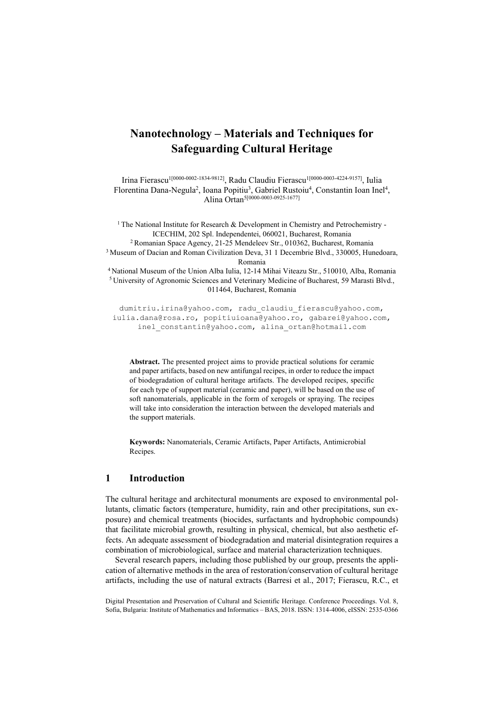# **Nanotechnology – Materials and Techniques for Safeguarding Cultural Heritage**

Irina Fierascu<sup>1[0000-0002-1834-9812]</sup>, Radu Claudiu Fierascu<sup>1[0000-0003-4224-9157]</sup>, Iulia Florentina Dana-Negula<sup>2</sup>, Ioana Popitiu<sup>3</sup>, Gabriel Rustoiu<sup>4</sup>, Constantin Ioan Inel<sup>4</sup>, Alina Ortan5[0000-0003-0925-1677]

<sup>1</sup> The National Institute for Research & Development in Chemistry and Petrochemistry -ICECHIM, 202 Spl. Independentei, 060021, Bucharest, Romania 2 Romanian Space Agency, 21-25 Mendeleev Str., 010362, Bucharest, Romania 3 Museum of Dacian and Roman Civilization Deva, 31 1 Decembrie Blvd., 330005, Hunedoara,

Romania<br><sup>4</sup> National Museum of the Union Alba Iulia, 12-14 Mihai Viteazu Str., 510010, Alba, Romania<br><sup>5</sup> University of Agronomic Sciences and Veterinary Medicine of Bucharest, 59 Marasti Blvd., 011464, Bucharest, Romania

dumitriu.irina@yahoo.com, radu claudiu fierascu@yahoo.com, iulia.dana@rosa.ro, popitiuioana@yahoo.ro, gabarei@yahoo.com, inel\_constantin@yahoo.com, alina\_ortan@hotmail.com

**Abstract.** The presented project aims to provide practical solutions for ceramic and paper artifacts, based on new antifungal recipes, in order to reduce the impact of biodegradation of cultural heritage artifacts. The developed recipes, specific for each type of support material (ceramic and paper), will be based on the use of soft nanomaterials, applicable in the form of xerogels or spraying. The recipes will take into consideration the interaction between the developed materials and the support materials.

**Keywords:** Nanomaterials, Ceramic Artifacts, Paper Artifacts, Antimicrobial Recipes.

## **1 Introduction**

The cultural heritage and architectural monuments are exposed to environmental pollutants, climatic factors (temperature, humidity, rain and other precipitations, sun exposure) and chemical treatments (biocides, surfactants and hydrophobic compounds) that facilitate microbial growth, resulting in physical, chemical, but also aesthetic effects. An adequate assessment of biodegradation and material disintegration requires a combination of microbiological, surface and material characterization techniques.

Several research papers, including those published by our group, presents the application of alternative methods in the area of restoration/conservation of cultural heritage artifacts, including the use of natural extracts (Barresi et al., 2017; Fierascu, R.C., et

Digital Presentation and Preservation of Cultural and Scientific Heritage. Conference Proceedings. Vol. 8, Sofia, Bulgaria: Institute of Mathematics and Informatics – BAS, 2018. ISSN: 1314-4006, eISSN: 2535-0366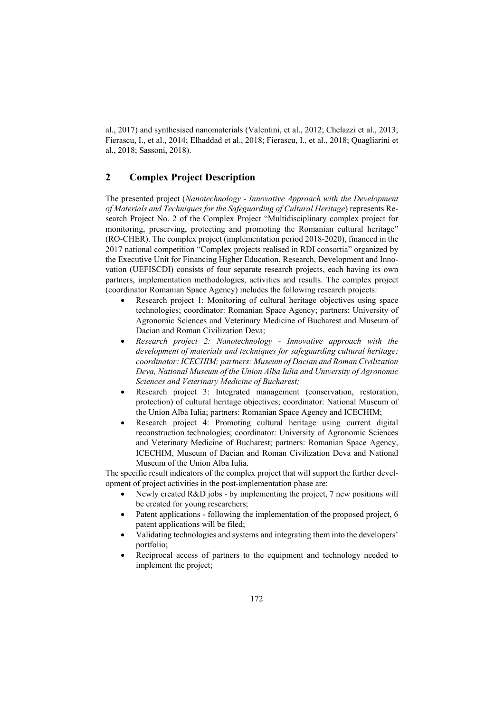al., 2017) and synthesised nanomaterials (Valentini, et al., 2012; Chelazzi et al., 2013; Fierascu, I., et al., 2014; Elhaddad et al., 2018; Fierascu, I., et al., 2018; Quagliarini et al., 2018; Sassoni, 2018).

## **2 Complex Project Description**

The presented project (*Nanotechnology - Innovative Approach with the Development of Materials and Techniques for the Safeguarding of Cultural Heritage*) represents Research Project No. 2 of the Complex Project "Multidisciplinary complex project for monitoring, preserving, protecting and promoting the Romanian cultural heritage" (RO-CHER). The complex project (implementation period 2018-2020), financed in the 2017 national competition "Complex projects realised in RDI consortia" organized by the Executive Unit for Financing Higher Education, Research, Development and Innovation (UEFISCDI) consists of four separate research projects, each having its own partners, implementation methodologies, activities and results. The complex project (coordinator Romanian Space Agency) includes the following research projects:

- Research project 1: Monitoring of cultural heritage objectives using space technologies; coordinator: Romanian Space Agency; partners: University of Agronomic Sciences and Veterinary Medicine of Bucharest and Museum of Dacian and Roman Civilization Deva;
- *Research project 2: Nanotechnology Innovative approach with the development of materials and techniques for safeguarding cultural heritage; coordinator: ICECHIM; partners: Museum of Dacian and Roman Civilization Deva, National Museum of the Union Alba Iulia and University of Agronomic Sciences and Veterinary Medicine of Bucharest;*
- Research project 3: Integrated management (conservation, restoration, protection) of cultural heritage objectives; coordinator: National Museum of the Union Alba Iulia; partners: Romanian Space Agency and ICECHIM;
- Research project 4: Promoting cultural heritage using current digital reconstruction technologies; coordinator: University of Agronomic Sciences and Veterinary Medicine of Bucharest; partners: Romanian Space Agency, ICECHIM, Museum of Dacian and Roman Civilization Deva and National Museum of the Union Alba Iulia.

The specific result indicators of the complex project that will support the further development of project activities in the post-implementation phase are:

- Newly created R&D jobs by implementing the project, 7 new positions will be created for young researchers;
- Patent applications following the implementation of the proposed project, 6 patent applications will be filed;
- Validating technologies and systems and integrating them into the developers' portfolio;
- Reciprocal access of partners to the equipment and technology needed to implement the project;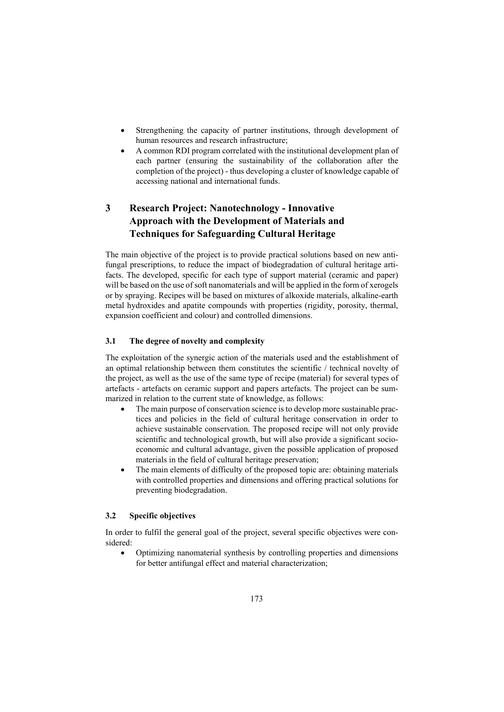- Strengthening the capacity of partner institutions, through development of human resources and research infrastructure;
- A common RDI program correlated with the institutional development plan of each partner (ensuring the sustainability of the collaboration after the completion of the project) - thus developing a cluster of knowledge capable of accessing national and international funds.

## **3 Research Project: Nanotechnology - Innovative Approach with the Development of Materials and Techniques for Safeguarding Cultural Heritage**

The main objective of the project is to provide practical solutions based on new antifungal prescriptions, to reduce the impact of biodegradation of cultural heritage artifacts. The developed, specific for each type of support material (ceramic and paper) will be based on the use of soft nanomaterials and will be applied in the form of xerogels or by spraying. Recipes will be based on mixtures of alkoxide materials, alkaline-earth metal hydroxides and apatite compounds with properties (rigidity, porosity, thermal, expansion coefficient and colour) and controlled dimensions.

#### **3.1 The degree of novelty and complexity**

The exploitation of the synergic action of the materials used and the establishment of an optimal relationship between them constitutes the scientific / technical novelty of the project, as well as the use of the same type of recipe (material) for several types of artefacts - artefacts on ceramic support and papers artefacts. The project can be summarized in relation to the current state of knowledge, as follows:

- The main purpose of conservation science is to develop more sustainable practices and policies in the field of cultural heritage conservation in order to achieve sustainable conservation. The proposed recipe will not only provide scientific and technological growth, but will also provide a significant socioeconomic and cultural advantage, given the possible application of proposed materials in the field of cultural heritage preservation;
- The main elements of difficulty of the proposed topic are: obtaining materials with controlled properties and dimensions and offering practical solutions for preventing biodegradation.

#### **3.2 Specific objectives**

In order to fulfil the general goal of the project, several specific objectives were considered:

 Optimizing nanomaterial synthesis by controlling properties and dimensions for better antifungal effect and material characterization;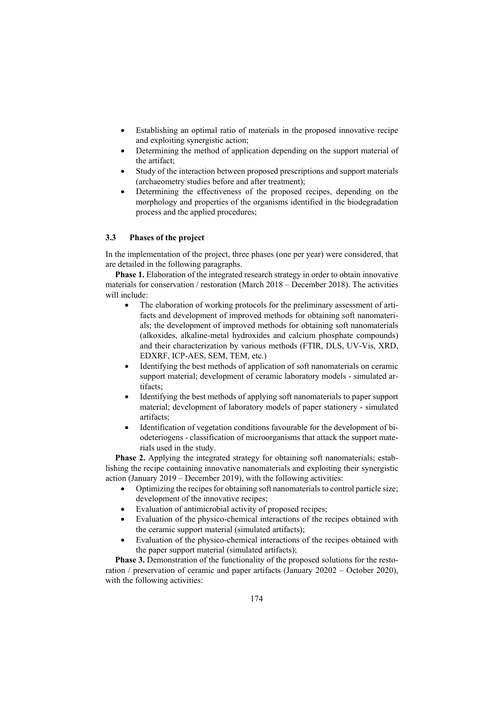- Establishing an optimal ratio of materials in the proposed innovative recipe and exploiting synergistic action;
- Determining the method of application depending on the support material of the artifact;
- Study of the interaction between proposed prescriptions and support materials (archaeometry studies before and after treatment);
- Determining the effectiveness of the proposed recipes, depending on the morphology and properties of the organisms identified in the biodegradation process and the applied procedures;

#### **3.3 Phases of the project**

In the implementation of the project, three phases (one per year) were considered, that are detailed in the following paragraphs.

**Phase 1.** Elaboration of the integrated research strategy in order to obtain innovative materials for conservation / restoration (March 2018 – December 2018). The activities will include:

- The elaboration of working protocols for the preliminary assessment of artifacts and development of improved methods for obtaining soft nanomaterials; the development of improved methods for obtaining soft nanomaterials (alkoxides, alkaline-metal hydroxides and calcium phosphate compounds) and their characterization by various methods (FTIR, DLS, UV-Vis, XRD, EDXRF, ICP-AES, SEM, TEM, etc.)
- Identifying the best methods of application of soft nanomaterials on ceramic support material; development of ceramic laboratory models - simulated artifacts;
- Identifying the best methods of applying soft nanomaterials to paper support material; development of laboratory models of paper stationery - simulated artifacts;
- Identification of vegetation conditions favourable for the development of biodeteriogens - classification of microorganisms that attack the support materials used in the study.

**Phase 2.** Applying the integrated strategy for obtaining soft nanomaterials; establishing the recipe containing innovative nanomaterials and exploiting their synergistic action (January 2019 – December 2019), with the following activities:

- Optimizing the recipes for obtaining soft nanomaterials to control particle size; development of the innovative recipes;
- Evaluation of antimicrobial activity of proposed recipes;
- Evaluation of the physico-chemical interactions of the recipes obtained with the ceramic support material (simulated artifacts);
- Evaluation of the physico-chemical interactions of the recipes obtained with the paper support material (simulated artifacts);

**Phase 3.** Demonstration of the functionality of the proposed solutions for the restoration / preservation of ceramic and paper artifacts (January 20202 – October 2020), with the following activities: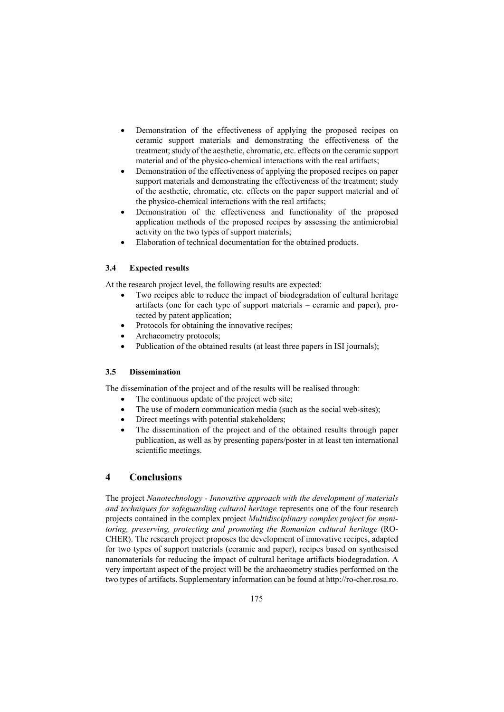- Demonstration of the effectiveness of applying the proposed recipes on ceramic support materials and demonstrating the effectiveness of the treatment; study of the aesthetic, chromatic, etc. effects on the ceramic support material and of the physico-chemical interactions with the real artifacts;
- Demonstration of the effectiveness of applying the proposed recipes on paper support materials and demonstrating the effectiveness of the treatment; study of the aesthetic, chromatic, etc. effects on the paper support material and of the physico-chemical interactions with the real artifacts;
- Demonstration of the effectiveness and functionality of the proposed application methods of the proposed recipes by assessing the antimicrobial activity on the two types of support materials;
- Elaboration of technical documentation for the obtained products.

### **3.4 Expected results**

At the research project level, the following results are expected:

- Two recipes able to reduce the impact of biodegradation of cultural heritage artifacts (one for each type of support materials – ceramic and paper), protected by patent application;
- Protocols for obtaining the innovative recipes;
- Archaeometry protocols;
- Publication of the obtained results (at least three papers in ISI journals);

#### **3.5 Dissemination**

The dissemination of the project and of the results will be realised through:

- The continuous update of the project web site;
- The use of modern communication media (such as the social web-sites);
- Direct meetings with potential stakeholders;
- The dissemination of the project and of the obtained results through paper publication, as well as by presenting papers/poster in at least ten international scientific meetings.

## **4 Conclusions**

The project *Nanotechnology - Innovative approach with the development of materials and techniques for safeguarding cultural heritage* represents one of the four research projects contained in the complex project *Multidisciplinary complex project for monitoring, preserving, protecting and promoting the Romanian cultural heritage* (RO-CHER). The research project proposes the development of innovative recipes, adapted for two types of support materials (ceramic and paper), recipes based on synthesised nanomaterials for reducing the impact of cultural heritage artifacts biodegradation. A very important aspect of the project will be the archaeometry studies performed on the two types of artifacts. Supplementary information can be found at http://ro-cher.rosa.ro.